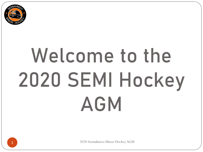

# Welcome to the 2020 SEMI Hockey AGM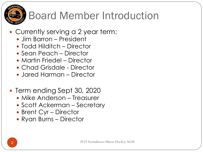

### Board Member Introduction

### • Currently serving a 2 year term:

- Jim Barron President
- Todd Hilditch Director
- Sean Peach Director
- Martin Friedel Director
- Chad Grisdale Director
- Jared Harman Director
- Term ending Sept 30, 2020
	- Mike Anderson Treasurer
	- Scott Ackerman Secretary
	- Brent Cyr Director
	- Ryan Burns Director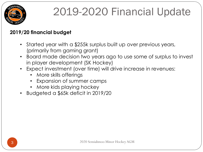

#### **2019/20 financial budget**

- Started year with a \$255k surplus built up over previous years, (primarily from gaming grant)
- Board made decision two years ago to use some of surplus to invest in player development (SK Hockey)
- Expect investment (over time) will drive increase in revenues:
	- More skills offerings
	- Expansion of summer camps
	- More kids playing hockey
- Budgeted a \$65k deficit in 2019/20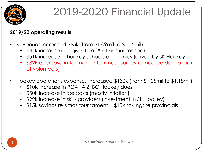

#### **2019/20 operating results**

- Revenues increased \$65k (from \$1.09mil to \$1.15mil)
	- \$44k increase in registration (# of kids increased)
	- \$51k increase in hockey schools and clinics (driven by SK Hockey)
	- \$32k decrease in tournaments (xmas tourney cancelled due to lack of volunteers)
- Hockey operations expenses increased \$130k (from \$1.05mil to \$1.18mil)
	- \$10K increase in PCAHA & BC Hockey dues
	- \$50k increase in ice costs (mostly inflation)
	- \$99k increase in skills providers (investment in SK Hockey)
	- \$15k savings re Xmas tournament + \$10k savings re provincials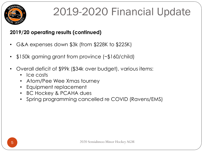

#### **2019/20 operating results (continued)**

- G&A expenses down \$3k (from \$228K to \$225K)
- \$150k gaming grant from province (~\$160/child)
- Overall deficit of \$99k (\$34k over budget), various items:
	- Ice costs
	- Atom/Pee Wee Xmas tourney
	- Equipment replacement
	- BC Hockey & PCAHA dues
	- Spring programming cancelled re COVID (Ravens/EMS)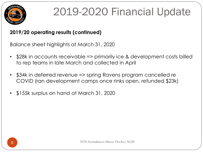

#### **2019/20 operating results (continued)**

Balance sheet highlights at March 31, 2020

- \$28k in accounts receivable => primarily ice & development costs billed to rep teams in late March and collected in April
- \$34k in deferred revenue => spring Ravens program cancelled re COVID (ran development camps once rinks open, refunded \$23k)
- \$155k surplus on hand at March 31, 2020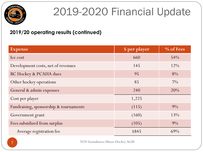

#### **2019/20 operating results (continued)**

| Expense                                | \$ per player | % of Fees |
|----------------------------------------|---------------|-----------|
| Ice cost                               | 660           | 54%       |
| Development costs, net of revenues     | 145           | 12%       |
| <b>BC Hockey &amp; PCAHA dues</b>      | 95            | 8%        |
| Other hockey operations                | 85            | $7\%$     |
| General & admin expenses               | 240           | 20%       |
| Cost per player                        | 1,225         |           |
| Fundraising, sponsorship & tournaments | (115)         | $9\%$     |
| Government grant                       | (160)         | 13%       |
| Fees subsidized from surplus           | (105)         | $9\%$     |
| Average registration fee               | \$845         | 69%       |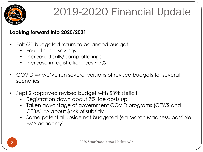

#### **Looking forward into 2020/2021**

- Feb/20 budgeted return to balanced budget
	- Found some savings
	- Increased skills/camp offerings
	- Increase in registration fees  $\sim$  7%
- COVID => we've run several versions of revised budgets for several scenarios
- Sept 2 approved revised budget with \$39k deficit
	- Registration down about 7%, ice costs up
	- Taken advantage of government COVID programs (CEWS and CEBA) => about \$44k of subsidy
	- Some potential upside not budgeted (eg March Madness, possible EMS academy)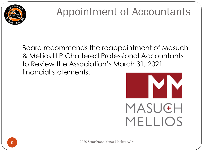

### Appointment of Accountants

Board recommends the reappointment of Masuch & Mellios LLP Chartered Professional Accountants to Review the Association's March 31, 2021 financial statements.

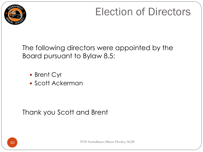

### Election of Directors

The following directors were appointed by the Board pursuant to Bylaw 8.5:

- Brent Cyr
- Scott Ackerman

Thank you Scott and Brent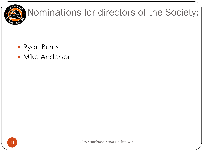

### Nominations for directors of the Society:

- Ryan Burns
- Mike Anderson